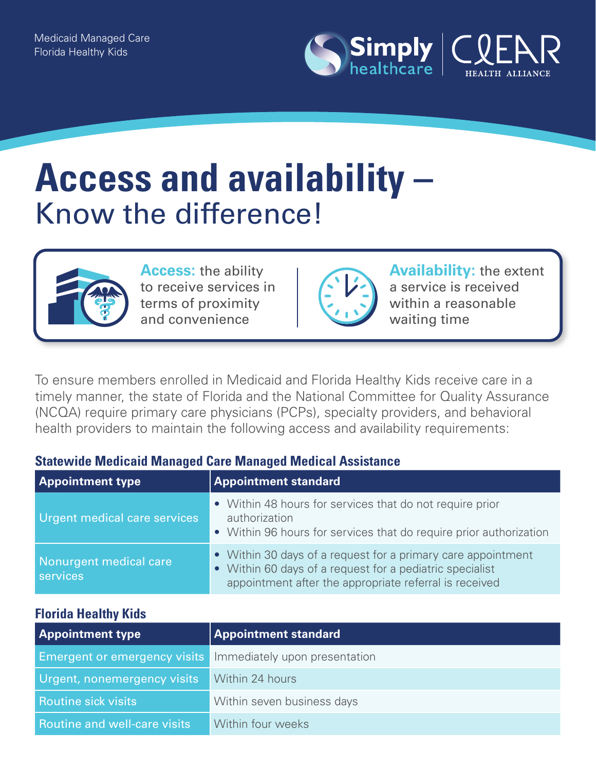

# **Access and availability –**  Know the difference!



**Access:** the ability to receive services in terms of proximity and convenience



**Availability:** the extent a service is received within a reasonable waiting time

To ensure members enrolled in Medicaid and Florida Healthy Kids receive care in a timely manner, the state of Florida and the National Committee for Quality Assurance (NCQA) require primary care physicians (PCPs), specialty providers, and behavioral health providers to maintain the following access and availability requirements:

## **Statewide Medicaid Managed Care Managed Medical Assistance**

| <b>Appointment type</b>            | <b>Appointment standard</b>                                                                                                                                                        |
|------------------------------------|------------------------------------------------------------------------------------------------------------------------------------------------------------------------------------|
| Urgent medical care services       | • Within 48 hours for services that do not require prior<br>authorization<br>• Within 96 hours for services that do require prior authorization                                    |
| Nonurgent medical care<br>services | • Within 30 days of a request for a primary care appointment<br>• Within 60 days of a request for a pediatric specialist<br>appointment after the appropriate referral is received |

#### **Florida Healthy Kids**

| <b>Appointment type</b>                                           | <b>Appointment standard</b> |
|-------------------------------------------------------------------|-----------------------------|
| <b>Emergent or emergency visits</b> Immediately upon presentation |                             |
| <b>Urgent, nonemergency visits</b>                                | Within 24 hours             |
| <b>Routine sick visits</b>                                        | Within seven business days  |
| <b>Routine and well-care visits</b>                               | Within four weeks           |